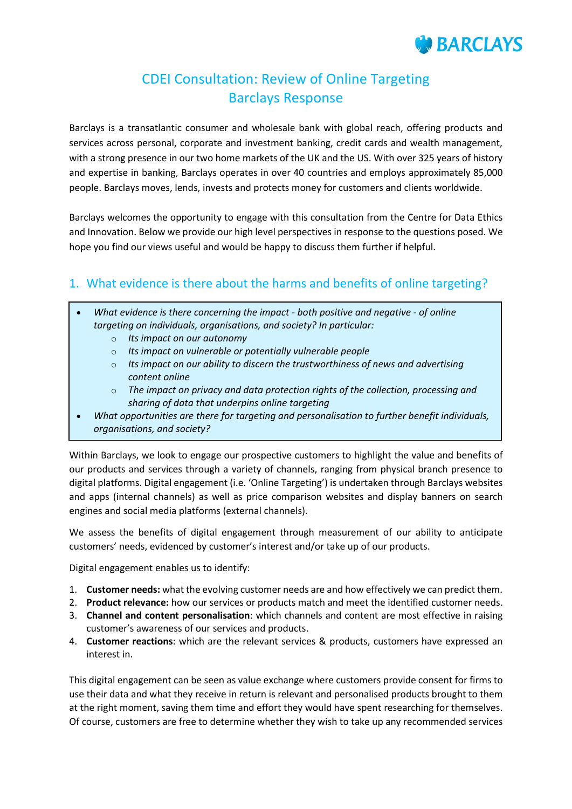# **BARCLAYS**

## CDEI Consultation: Review of Online Targeting Barclays Response

Barclays is a transatlantic consumer and wholesale bank with global reach, offering products and services across personal, corporate and investment banking, credit cards and wealth management, with a strong presence in our two home markets of the UK and the US. With over 325 years of history and expertise in banking, Barclays operates in over 40 countries and employs approximately 85,000 people. Barclays moves, lends, invests and protects money for customers and clients worldwide.

Barclays welcomes the opportunity to engage with this consultation from the Centre for Data Ethics and Innovation. Below we provide our high level perspectives in response to the questions posed. We hope you find our views useful and would be happy to discuss them further if helpful.

#### 1. What evidence is there about the harms and benefits of online targeting?

- *What evidence is there concerning the impact - both positive and negative - of online targeting on individuals, organisations, and society? In particular:*
	- o *Its impact on our autonomy*
	- o *Its impact on vulnerable or potentially vulnerable people*
	- o *Its impact on our ability to discern the trustworthiness of news and advertising content online*
	- o *The impact on privacy and data protection rights of the collection, processing and sharing of data that underpins online targeting*
- *What opportunities are there for targeting and personalisation to further benefit individuals, organisations, and society?*

Within Barclays, we look to engage our prospective customers to highlight the value and benefits of our products and services through a variety of channels, ranging from physical branch presence to digital platforms. Digital engagement (i.e. 'Online Targeting') is undertaken through Barclays websites and apps (internal channels) as well as price comparison websites and display banners on search engines and social media platforms (external channels).

We assess the benefits of digital engagement through measurement of our ability to anticipate customers' needs, evidenced by customer's interest and/or take up of our products.

Digital engagement enables us to identify:

- 1. **Customer needs:** what the evolving customer needs are and how effectively we can predict them.
- 2. **Product relevance:** how our services or products match and meet the identified customer needs.
- 3. **Channel and content personalisation**: which channels and content are most effective in raising customer's awareness of our services and products.
- 4. **Customer reactions**: which are the relevant services & products, customers have expressed an interest in.

This digital engagement can be seen as value exchange where customers provide consent for firms to use their data and what they receive in return is relevant and personalised products brought to them at the right moment, saving them time and effort they would have spent researching for themselves. Of course, customers are free to determine whether they wish to take up any recommended services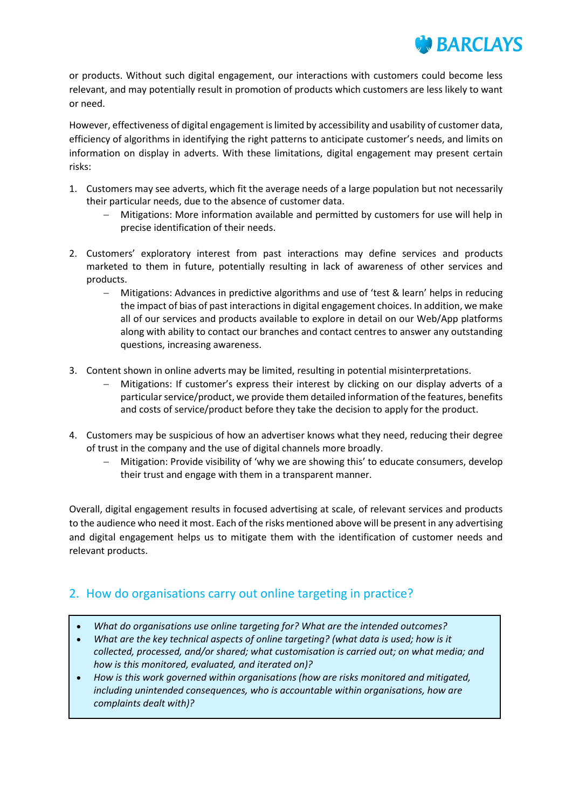

or products. Without such digital engagement, our interactions with customers could become less relevant, and may potentially result in promotion of products which customers are less likely to want or need.

However, effectiveness of digital engagement is limited by accessibility and usability of customer data, efficiency of algorithms in identifying the right patterns to anticipate customer's needs, and limits on information on display in adverts. With these limitations, digital engagement may present certain risks:

- 1. Customers may see adverts, which fit the average needs of a large population but not necessarily their particular needs, due to the absence of customer data.
	- Mitigations: More information available and permitted by customers for use will help in precise identification of their needs.
- 2. Customers' exploratory interest from past interactions may define services and products marketed to them in future, potentially resulting in lack of awareness of other services and products.
	- Mitigations: Advances in predictive algorithms and use of 'test & learn' helps in reducing the impact of bias of past interactions in digital engagement choices. In addition, we make all of our services and products available to explore in detail on our Web/App platforms along with ability to contact our branches and contact centres to answer any outstanding questions, increasing awareness.
- 3. Content shown in online adverts may be limited, resulting in potential misinterpretations.
	- Mitigations: If customer's express their interest by clicking on our display adverts of a particular service/product, we provide them detailed information of the features, benefits and costs of service/product before they take the decision to apply for the product.
- 4. Customers may be suspicious of how an advertiser knows what they need, reducing their degree of trust in the company and the use of digital channels more broadly.
	- Mitigation: Provide visibility of 'why we are showing this' to educate consumers, develop their trust and engage with them in a transparent manner.

Overall, digital engagement results in focused advertising at scale, of relevant services and products to the audience who need it most. Each of the risks mentioned above will be present in any advertising and digital engagement helps us to mitigate them with the identification of customer needs and relevant products.

#### 2. How do organisations carry out online targeting in practice?

- *What do organisations use online targeting for? What are the intended outcomes?*
- *What are the key technical aspects of online targeting? (what data is used; how is it collected, processed, and/or shared; what customisation is carried out; on what media; and how is this monitored, evaluated, and iterated on)?*
- *How is this work governed within organisations (how are risks monitored and mitigated, including unintended consequences, who is accountable within organisations, how are complaints dealt with)?*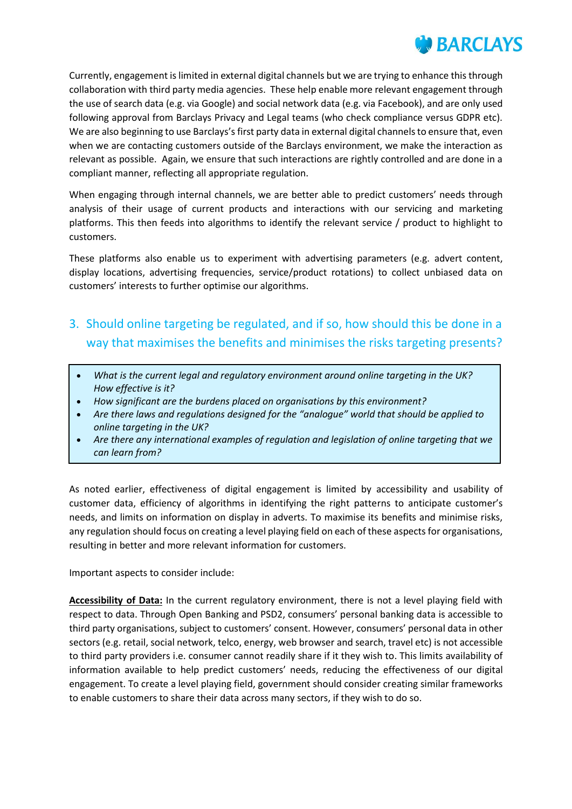

Currently, engagement is limited in external digital channels but we are trying to enhance this through collaboration with third party media agencies. These help enable more relevant engagement through the use of search data (e.g. via Google) and social network data (e.g. via Facebook), and are only used following approval from Barclays Privacy and Legal teams (who check compliance versus GDPR etc). We are also beginning to use Barclays's first party data in external digital channels to ensure that, even when we are contacting customers outside of the Barclays environment, we make the interaction as relevant as possible. Again, we ensure that such interactions are rightly controlled and are done in a compliant manner, reflecting all appropriate regulation.

When engaging through internal channels, we are better able to predict customers' needs through analysis of their usage of current products and interactions with our servicing and marketing platforms. This then feeds into algorithms to identify the relevant service / product to highlight to customers.

These platforms also enable us to experiment with advertising parameters (e.g. advert content, display locations, advertising frequencies, service/product rotations) to collect unbiased data on customers' interests to further optimise our algorithms.

### 3. Should online targeting be regulated, and if so, how should this be done in a way that maximises the benefits and minimises the risks targeting presents?

- *What is the current legal and regulatory environment around online targeting in the UK? How effective is it?*
- *How significant are the burdens placed on organisations by this environment?*
- *Are there laws and regulations designed for the "analogue" world that should be applied to online targeting in the UK?*
- *Are there any international examples of regulation and legislation of online targeting that we can learn from?*

As noted earlier, effectiveness of digital engagement is limited by accessibility and usability of customer data, efficiency of algorithms in identifying the right patterns to anticipate customer's needs, and limits on information on display in adverts. To maximise its benefits and minimise risks, any regulation should focus on creating a level playing field on each of these aspects for organisations, resulting in better and more relevant information for customers.

Important aspects to consider include:

**Accessibility of Data:** In the current regulatory environment, there is not a level playing field with respect to data. Through Open Banking and PSD2, consumers' personal banking data is accessible to third party organisations, subject to customers' consent. However, consumers' personal data in other sectors (e.g. retail, social network, telco, energy, web browser and search, travel etc) is not accessible to third party providers i.e. consumer cannot readily share if it they wish to. This limits availability of information available to help predict customers' needs, reducing the effectiveness of our digital engagement. To create a level playing field, government should consider creating similar frameworks to enable customers to share their data across many sectors, if they wish to do so.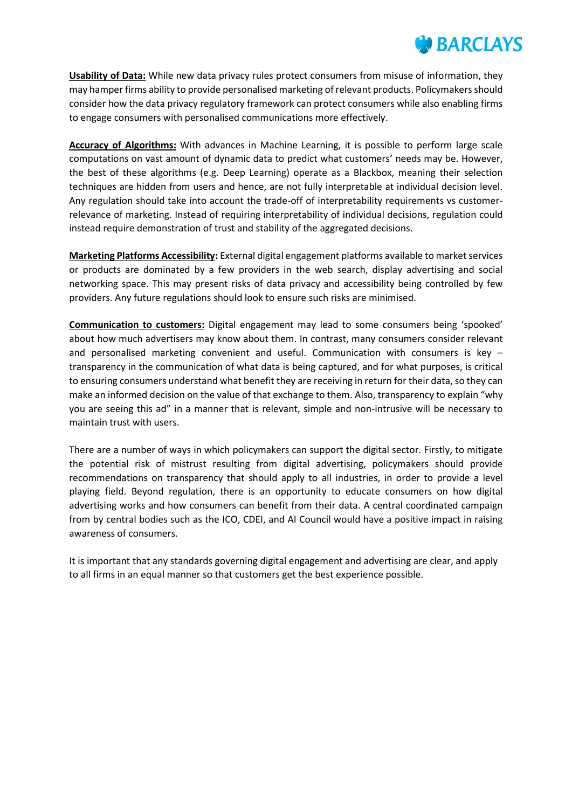

**Usability of Data:** While new data privacy rules protect consumers from misuse of information, they may hamper firms ability to provide personalised marketing of relevant products. Policymakers should consider how the data privacy regulatory framework can protect consumers while also enabling firms to engage consumers with personalised communications more effectively.

**Accuracy of Algorithms:** With advances in Machine Learning, it is possible to perform large scale computations on vast amount of dynamic data to predict what customers' needs may be. However, the best of these algorithms (e.g. Deep Learning) operate as a Blackbox, meaning their selection techniques are hidden from users and hence, are not fully interpretable at individual decision level. Any regulation should take into account the trade-off of interpretability requirements vs customerrelevance of marketing. Instead of requiring interpretability of individual decisions, regulation could instead require demonstration of trust and stability of the aggregated decisions.

**Marketing Platforms Accessibility:** External digital engagement platforms available to market services or products are dominated by a few providers in the web search, display advertising and social networking space. This may present risks of data privacy and accessibility being controlled by few providers. Any future regulations should look to ensure such risks are minimised.

**Communication to customers:** Digital engagement may lead to some consumers being 'spooked' about how much advertisers may know about them. In contrast, many consumers consider relevant and personalised marketing convenient and useful. Communication with consumers is key – transparency in the communication of what data is being captured, and for what purposes, is critical to ensuring consumers understand what benefit they are receiving in return for their data, so they can make an informed decision on the value of that exchange to them. Also, transparency to explain "why you are seeing this ad" in a manner that is relevant, simple and non-intrusive will be necessary to maintain trust with users.

There are a number of ways in which policymakers can support the digital sector. Firstly, to mitigate the potential risk of mistrust resulting from digital advertising, policymakers should provide recommendations on transparency that should apply to all industries, in order to provide a level playing field. Beyond regulation, there is an opportunity to educate consumers on how digital advertising works and how consumers can benefit from their data. A central coordinated campaign from by central bodies such as the ICO, CDEI, and AI Council would have a positive impact in raising awareness of consumers.

It is important that any standards governing digital engagement and advertising are clear, and apply to all firms in an equal manner so that customers get the best experience possible.